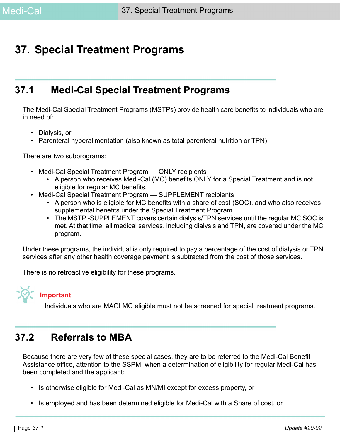## **37. Special Treatment Programs**

## **37.1 Medi-Cal Special Treatment Programs**

The Medi-Cal Special Treatment Programs (MSTPs) provide health care benefits to individuals who are in need of:

- Dialysis, or
- Parenteral hyperalimentation (also known as total parenteral nutrition or TPN)

There are two subprograms:

- Medi-Cal Special Treatment Program ONLY recipients
	- A person who receives Medi-Cal (MC) benefits ONLY for a Special Treatment and is not eligible for regular MC benefits.
- Medi-Cal Special Treatment Program SUPPLEMENT recipients
	- A person who is eligible for MC benefits with a share of cost (SOC), and who also receives supplemental benefits under the Special Treatment Program.
	- The MSTP -SUPPLEMENT covers certain dialysis/TPN services until the regular MC SOC is met. At that time, all medical services, including dialysis and TPN, are covered under the MC program.

Under these programs, the individual is only required to pay a percentage of the cost of dialysis or TPN services after any other health coverage payment is subtracted from the cost of those services.

There is no retroactive eligibility for these programs.



## **Important**:

Individuals who are MAGI MC eligible must not be screened for special treatment programs.

## **37.2 Referrals to MBA**

Because there are very few of these special cases, they are to be referred to the Medi-Cal Benefit Assistance office, attention to the SSPM, when a determination of eligibility for regular Medi-Cal has been completed and the applicant:

- Is otherwise eligible for Medi-Cal as MN/MI except for excess property, or
- Is employed and has been determined eligible for Medi-Cal with a Share of cost, or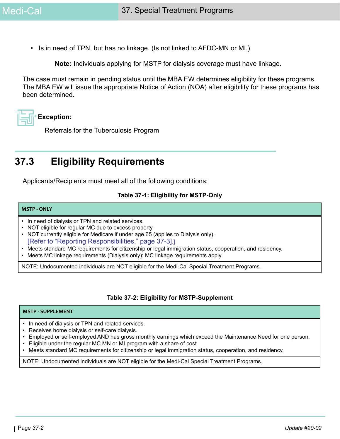• Is in need of TPN, but has no linkage. (Is not linked to AFDC-MN or MI.)

**Note:** Individuals applying for MSTP for dialysis coverage must have linkage.

The case must remain in pending status until the MBA EW determines eligibility for these programs. The MBA EW will issue the appropriate Notice of Action (NOA) after eligibility for these programs has been determined.

# **Exception:**

Referrals for the Tuberculosis Program

## **37.3 Eligibility Requirements**

Applicants/Recipients must meet all of the following conditions:

#### **Table 37-1: Eligibility for MSTP-Only**

#### **MSTP - ONLY**

- In need of dialysis or TPN and related services.
- NOT eligible for regular MC due to excess property.
- NOT currently eligible for Medicare if under age 65 (applies to Dialysis only). [\[Refer to "Reporting Responsibilities," page 37-3\].](#page-2-0)]
- Meets standard MC requirements for citizenship or legal immigration status, cooperation, and residency.
- Meets MC linkage requirements (Dialysis only): MC linkage requirements apply.

NOTE: Undocumented individuals are NOT eligible for the Medi-Cal Special Treatment Programs.

#### **Table 37-2: Eligibility for MSTP-Supplement**

#### **MSTP - SUPPLEMENT**

- In need of dialysis or TPN and related services.
- Receives home dialysis or self-care dialysis.
- Employed or self-employed AND has gross monthly earnings which exceed the Maintenance Need for one person.
- Eligible under the regular MC MN or MI program with a share of cost
- Meets standard MC requirements for citizenship or legal immigration status, cooperation, and residency.

NOTE: Undocumented individuals are NOT eligible for the Medi-Cal Special Treatment Programs.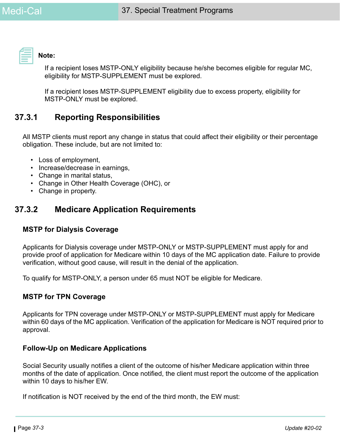

**Note:** 

If a recipient loses MSTP-ONLY eligibility because he/she becomes eligible for regular MC, eligibility for MSTP-SUPPLEMENT must be explored.

If a recipient loses MSTP-SUPPLEMENT eligibility due to excess property, eligibility for MSTP-ONLY must be explored.

## <span id="page-2-0"></span>**37.3.1 Reporting Responsibilities**

All MSTP clients must report any change in status that could affect their eligibility or their percentage obligation. These include, but are not limited to:

- Loss of employment,
- Increase/decrease in earnings,
- Change in marital status,
- Change in Other Health Coverage (OHC), or
- Change in property.

## **37.3.2 Medicare Application Requirements**

#### **MSTP for Dialysis Coverage**

Applicants for Dialysis coverage under MSTP-ONLY or MSTP-SUPPLEMENT must apply for and provide proof of application for Medicare within 10 days of the MC application date. Failure to provide verification, without good cause, will result in the denial of the application.

To qualify for MSTP-ONLY, a person under 65 must NOT be eligible for Medicare.

#### **MSTP for TPN Coverage**

Applicants for TPN coverage under MSTP-ONLY or MSTP-SUPPLEMENT must apply for Medicare within 60 days of the MC application. Verification of the application for Medicare is NOT required prior to approval.

#### **Follow-Up on Medicare Applications**

Social Security usually notifies a client of the outcome of his/her Medicare application within three months of the date of application. Once notified, the client must report the outcome of the application within 10 days to his/her EW.

If notification is NOT received by the end of the third month, the EW must: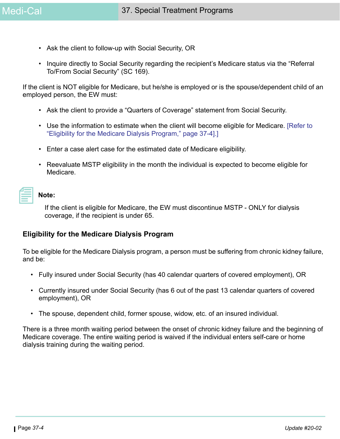- Ask the client to follow-up with Social Security, OR
- Inquire directly to Social Security regarding the recipient's Medicare status via the "Referral To/From Social Security" (SC 169).

If the client is NOT eligible for Medicare, but he/she is employed or is the spouse/dependent child of an employed person, the EW must:

- Ask the client to provide a "Quarters of Coverage" statement from Social Security.
- Use the information to estimate when the client will become eligible for Medicare. [\[Refer to](#page-3-0)  ["Eligibility for the Medicare Dialysis Program," page 37-4\].](#page-3-0)]
- Enter a case alert case for the estimated date of Medicare eligibility.
- Reevaluate MSTP eligibility in the month the individual is expected to become eligible for Medicare.

#### **Note:**

If the client is eligible for Medicare, the EW must discontinue MSTP - ONLY for dialysis coverage, if the recipient is under 65.

#### <span id="page-3-0"></span>**Eligibility for the Medicare Dialysis Program**

To be eligible for the Medicare Dialysis program, a person must be suffering from chronic kidney failure, and be:

- Fully insured under Social Security (has 40 calendar quarters of covered employment), OR
- Currently insured under Social Security (has 6 out of the past 13 calendar quarters of covered employment), OR
- The spouse, dependent child, former spouse, widow, etc. of an insured individual.

There is a three month waiting period between the onset of chronic kidney failure and the beginning of Medicare coverage. The entire waiting period is waived if the individual enters self-care or home dialysis training during the waiting period.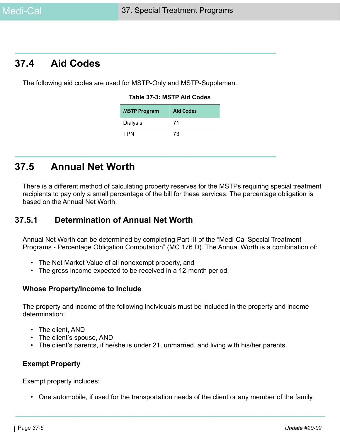## **37.4 Aid Codes**

The following aid codes are used for MSTP-Only and MSTP-Supplement.

#### **Table 37-3: MSTP Aid Codes**

| <b>MSTP Program</b> | <b>Aid Codes</b> |
|---------------------|------------------|
| Dialysis            | 71               |
| TPN                 | 73               |

## **37.5 Annual Net Worth**

There is a different method of calculating property reserves for the MSTPs requiring special treatment recipients to pay only a small percentage of the bill for these services. The percentage obligation is based on the Annual Net Worth.

### **37.5.1 Determination of Annual Net Worth**

Annual Net Worth can be determined by completing Part III of the "Medi-Cal Special Treatment Programs - Percentage Obligation Computation" (MC 176 D). The Annual Worth is a combination of:

- The Net Market Value of all nonexempt property, and
- The gross income expected to be received in a 12-month period.

#### **Whose Property/Income to Include**

The property and income of the following individuals must be included in the property and income determination:

- The client, AND
- The client's spouse, AND
- The client's parents, if he/she is under 21, unmarried, and living with his/her parents.

#### **Exempt Property**

Exempt property includes:

• One automobile, if used for the transportation needs of the client or any member of the family.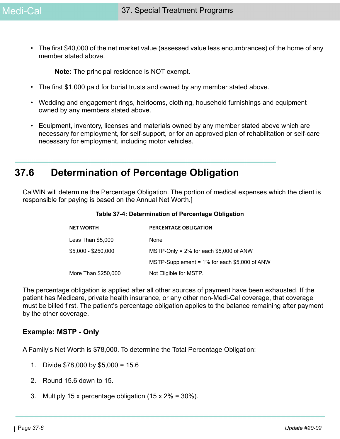• The first \$40,000 of the net market value (assessed value less encumbrances) of the home of any member stated above.

**Note:** The principal residence is NOT exempt.

- The first \$1,000 paid for burial trusts and owned by any member stated above.
- Wedding and engagement rings, heirlooms, clothing, household furnishings and equipment owned by any members stated above.
- Equipment, inventory, licenses and materials owned by any member stated above which are necessary for employment, for self-support, or for an approved plan of rehabilitation or self-care necessary for employment, including motor vehicles.

## **37.6 Determination of Percentage Obligation**

CalWIN will determine the Percentage Obligation. The portion of medical expenses which the client is responsible for paying is based on the Annual Net Worth.]

| <b>NET WORTH</b>    | <b>PERCENTAGE OBLIGATION</b>                    |
|---------------------|-------------------------------------------------|
| Less Than \$5,000   | None                                            |
| $$5,000 - $250,000$ | MSTP-Only = $2\%$ for each \$5,000 of ANW       |
|                     | MSTP-Supplement = $1\%$ for each \$5,000 of ANW |
| More Than \$250,000 | Not Eligible for MSTP.                          |

#### **Table 37-4: Determination of Percentage Obligation**

The percentage obligation is applied after all other sources of payment have been exhausted. If the patient has Medicare, private health insurance, or any other non-Medi-Cal coverage, that coverage must be billed first. The patient's percentage obligation applies to the balance remaining after payment by the other coverage.

#### **Example: MSTP - Only**

A Family's Net Worth is \$78,000. To determine the Total Percentage Obligation:

- 1. Divide \$78,000 by \$5,000 = 15.6
- 2. Round 15.6 down to 15.
- 3. Multiply 15 x percentage obligation (15 x 2% = 30%).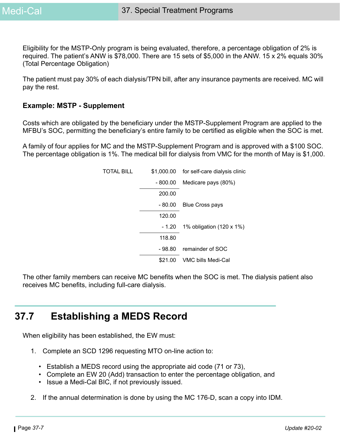Eligibility for the MSTP-Only program is being evaluated, therefore, a percentage obligation of 2% is required. The patient's ANW is \$78,000. There are 15 sets of \$5,000 in the ANW. 15 x 2% equals 30% (Total Percentage Obligation)

The patient must pay 30% of each dialysis/TPN bill, after any insurance payments are received. MC will pay the rest.

#### **Example: MSTP - Supplement**

Costs which are obligated by the beneficiary under the MSTP-Supplement Program are applied to the MFBU's SOC, permitting the beneficiary's entire family to be certified as eligible when the SOC is met.

A family of four applies for MC and the MSTP-Supplement Program and is approved with a \$100 SOC. The percentage obligation is 1%. The medical bill for dialysis from VMC for the month of May is \$1,000.

|          | \$1,000.00 for self-care dialysis clinic |
|----------|------------------------------------------|
| - 800.00 | Medicare pays (80%)                      |
| 200.00   |                                          |
| - 80.00  | <b>Blue Cross pays</b>                   |
| 120.00   |                                          |
| - 1.20   | 1% obligation (120 x 1%)                 |
| 118.80   |                                          |
| - 98.80  | remainder of SOC                         |
| \$21.00  | VMC bills Medi-Cal                       |
|          |                                          |

The other family members can receive MC benefits when the SOC is met. The dialysis patient also receives MC benefits, including full-care dialysis.

## **37.7 Establishing a MEDS Record**

When eligibility has been established, the EW must:

- 1. Complete an SCD 1296 requesting MTO on-line action to:
	- Establish a MEDS record using the appropriate aid code (71 or 73),
	- Complete an EW 20 (Add) transaction to enter the percentage obligation, and
	- Issue a Medi-Cal BIC, if not previously issued.
- 2. If the annual determination is done by using the MC 176-D, scan a copy into IDM.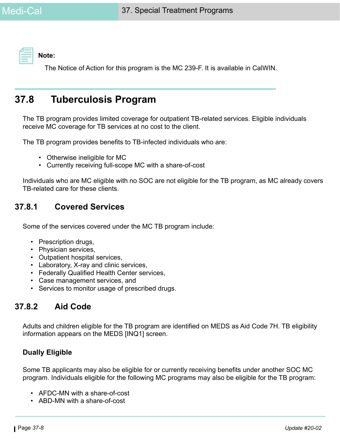**Note:** 

The Notice of Action for this program is the MC 239-F. It is available in CalWIN.

## **37.8 Tuberculosis Program**

The TB program provides limited coverage for outpatient TB-related services. Eligible individuals receive MC coverage for TB services at no cost to the client.

The TB program provides benefits to TB-infected individuals who are:

- Otherwise ineligible for MC
- Currently receiving full-scope MC with a share-of-cost

Individuals who are MC eligible with no SOC are not eligible for the TB program, as MC already covers TB-related care for these clients.

### **37.8.1 Covered Services**

Some of the services covered under the MC TB program include:

- Prescription drugs,
- Physician services,
- Outpatient hospital services,
- Laboratory, X-ray and clinic services,
- Federally Qualified Health Center services,
- Case management services, and
- Services to monitor usage of prescribed drugs.

### **37.8.2 Aid Code**

Adults and children eligible for the TB program are identified on MEDS as Aid Code 7H. TB eligibility information appears on the MEDS [INQ1] screen.

### **Dually Eligible**

Some TB applicants may also be eligible for or currently receiving benefits under another SOC MC program. Individuals eligible for the following MC programs may also be eligible for the TB program:

- AFDC-MN with a share-of-cost
- ABD-MN with a share-of-cost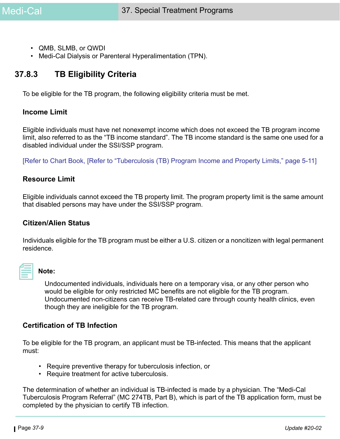- QMB, SLMB, or QWDI
- Medi-Cal Dialysis or Parenteral Hyperalimentation (TPN).

### **37.8.3 TB Eligibility Criteria**

To be eligible for the TB program, the following eligibility criteria must be met.

#### **Income Limit**

Eligible individuals must have net nonexempt income which does not exceed the TB program income limit, also referred to as the "TB income standard". The TB income standard is the same one used for a disabled individual under the SSI/SSP program.

[Refer to Chart Book, [Refer to "Tuberculosis (TB) Program Income and Property Limits," page 5-11]

#### **Resource Limit**

Eligible individuals cannot exceed the TB property limit. The program property limit is the same amount that disabled persons may have under the SSI/SSP program.

#### **Citizen/Alien Status**

Individuals eligible for the TB program must be either a U.S. citizen or a noncitizen with legal permanent residence.

#### **Note:**

Undocumented individuals, individuals here on a temporary visa, or any other person who would be eligible for only restricted MC benefits are not eligible for the TB program. Undocumented non-citizens can receive TB-related care through county health clinics, even though they are ineligible for the TB program.

#### **Certification of TB Infection**

To be eligible for the TB program, an applicant must be TB-infected. This means that the applicant must:

- Require preventive therapy for tuberculosis infection, or
- Require treatment for active tuberculosis.

The determination of whether an individual is TB-infected is made by a physician. The "Medi-Cal Tuberculosis Program Referral" (MC 274TB, Part B), which is part of the TB application form, must be completed by the physician to certify TB infection.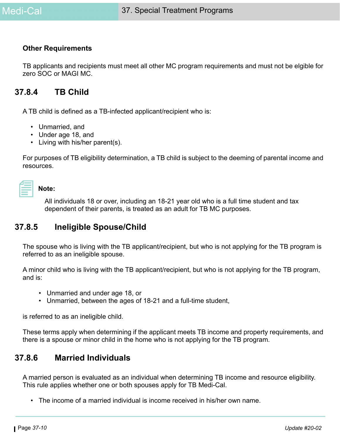#### **Other Requirements**

TB applicants and recipients must meet all other MC program requirements and must not be elgible for zero SOC or MAGI MC.

### **37.8.4 TB Child**

A TB child is defined as a TB-infected applicant/recipient who is:

- Unmarried, and
- Under age 18, and
- Living with his/her parent(s).

For purposes of TB eligibility determination, a TB child is subject to the deeming of parental income and resources.

#### **Note:**

All individuals 18 or over, including an 18-21 year old who is a full time student and tax dependent of their parents, is treated as an adult for TB MC purposes.

### **37.8.5 Ineligible Spouse/Child**

The spouse who is living with the TB applicant/recipient, but who is not applying for the TB program is referred to as an ineligible spouse.

A minor child who is living with the TB applicant/recipient, but who is not applying for the TB program, and is:

- Unmarried and under age 18, or
- Unmarried, between the ages of 18-21 and a full-time student,

is referred to as an ineligible child.

These terms apply when determining if the applicant meets TB income and property requirements, and there is a spouse or minor child in the home who is not applying for the TB program.

### **37.8.6 Married Individuals**

A married person is evaluated as an individual when determining TB income and resource eligibility. This rule applies whether one or both spouses apply for TB Medi-Cal.

• The income of a married individual is income received in his/her own name.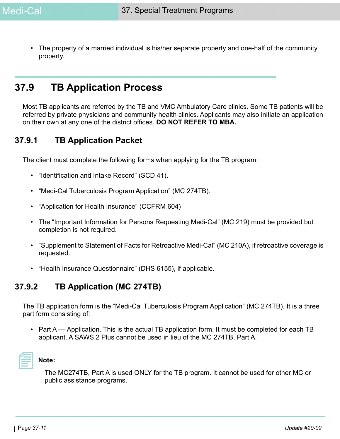• The property of a married individual is his/her separate property and one-half of the community property.

## **37.9 TB Application Process**

Most TB applicants are referred by the TB and VMC Ambulatory Care clinics. Some TB patients will be referred by private physicians and community health clinics. Applicants may also initiate an application on their own at any one of the district offices. **DO NOT REFER TO MBA.**

### **37.9.1 TB Application Packet**

The client must complete the following forms when applying for the TB program:

- "Identification and Intake Record" (SCD 41).
- "Medi-Cal Tuberculosis Program Application" (MC 274TB).
- "Application for Health Insurance" (CCFRM 604)
- The "Important Information for Persons Requesting Medi-Cal" (MC 219) must be provided but completion is not required.
- "Supplement to Statement of Facts for Retroactive Medi-Cal" (MC 210A), if retroactive coverage is requested.
- "Health Insurance Questionnaire" (DHS 6155), if applicable.

### **37.9.2 TB Application (MC 274TB)**

The TB application form is the "Medi-Cal Tuberculosis Program Application" (MC 274TB). It is a three part form consisting of:

• Part A — Application. This is the actual TB application form. It must be completed for each TB applicant. A SAWS 2 Plus cannot be used in lieu of the MC 274TB, Part A.



### **Note:**

The MC274TB, Part A is used ONLY for the TB program. It cannot be used for other MC or public assistance programs.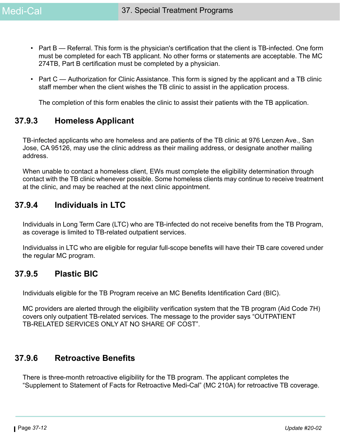- Part B Referral. This form is the physician's certification that the client is TB-infected. One form must be completed for each TB applicant. No other forms or statements are acceptable. The MC 274TB, Part B certification must be completed by a physician.
- Part C Authorization for Clinic Assistance. This form is signed by the applicant and a TB clinic staff member when the client wishes the TB clinic to assist in the application process.

The completion of this form enables the clinic to assist their patients with the TB application.

## **37.9.3 Homeless Applicant**

TB-infected applicants who are homeless and are patients of the TB clinic at 976 Lenzen Ave., San Jose, CA 95126, may use the clinic address as their mailing address, or designate another mailing address.

When unable to contact a homeless client, EWs must complete the eligibility determination through contact with the TB clinic whenever possible. Some homeless clients may continue to receive treatment at the clinic, and may be reached at the next clinic appointment.

### **37.9.4 Individuals in LTC**

Individuals in Long Term Care (LTC) who are TB-infected do not receive benefits from the TB Program, as coverage is limited to TB-related outpatient services.

Individualss in LTC who are eligible for regular full-scope benefits will have their TB care covered under the regular MC program.

### **37.9.5 Plastic BIC**

Individuals eligible for the TB Program receive an MC Benefits Identification Card (BIC).

MC providers are alerted through the eligibility verification system that the TB program (Aid Code 7H) covers only outpatient TB-related services. The message to the provider says "OUTPATIENT TB-RELATED SERVICES ONLY AT NO SHARE OF COST".

## **37.9.6 Retroactive Benefits**

There is three-month retroactive eligibility for the TB program. The applicant completes the "Supplement to Statement of Facts for Retroactive Medi-Cal" (MC 210A) for retroactive TB coverage.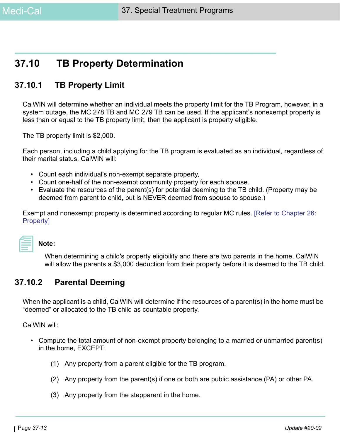## **37.10 TB Property Determination**

## **37.10.1 TB Property Limit**

CalWIN will determine whether an individual meets the property limit for the TB Program, however, in a system outage, the MC 278 TB and MC 279 TB can be used. If the applicant's nonexempt property is less than or equal to the TB property limit, then the applicant is property eligible.

The TB property limit is \$2,000.

Each person, including a child applying for the TB program is evaluated as an individual, regardless of their marital status. CalWIN will:

- Count each individual's non-exempt separate property,
- Count one-half of the non-exempt community property for each spouse.
- Evaluate the resources of the parent(s) for potential deeming to the TB child. (Property may be deemed from parent to child, but is NEVER deemed from spouse to spouse.)

Exempt and nonexempt property is determined according to regular MC rules. [Refer to Chapter 26: Property]

## **Note:**

When determining a child's property eligibility and there are two parents in the home, CalWIN will allow the parents a \$3,000 deduction from their property before it is deemed to the TB child.

### **37.10.2 Parental Deeming**

When the applicant is a child, CalWIN will determine if the resources of a parent(s) in the home must be "deemed" or allocated to the TB child as countable property.

CalWIN will:

- Compute the total amount of non-exempt property belonging to a married or unmarried parent(s) in the home, EXCEPT:
	- (1) Any property from a parent eligible for the TB program.
	- (2) Any property from the parent(s) if one or both are public assistance (PA) or other PA.
	- (3) Any property from the stepparent in the home.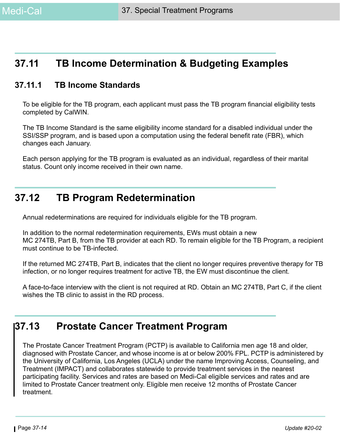## **37.11 TB Income Determination & Budgeting Examples**

## **37.11.1 TB Income Standards**

To be eligible for the TB program, each applicant must pass the TB program financial eligibility tests completed by CalWIN.

The TB Income Standard is the same eligibility income standard for a disabled individual under the SSI/SSP program, and is based upon a computation using the federal benefit rate (FBR), which changes each January.

Each person applying for the TB program is evaluated as an individual, regardless of their marital status. Count only income received in their own name.

## **37.12 TB Program Redetermination**

Annual redeterminations are required for individuals eligible for the TB program.

In addition to the normal redetermination requirements, EWs must obtain a new MC 274TB, Part B, from the TB provider at each RD. To remain eligible for the TB Program, a recipient must continue to be TB-infected.

If the returned MC 274TB, Part B, indicates that the client no longer requires preventive therapy for TB infection, or no longer requires treatment for active TB, the EW must discontinue the client.

A face-to-face interview with the client is not required at RD. Obtain an MC 274TB, Part C, if the client wishes the TB clinic to assist in the RD process.

## **37.13 Prostate Cancer Treatment Program**

The Prostate Cancer Treatment Program (PCTP) is available to California men age 18 and older, diagnosed with Prostate Cancer, and whose income is at or below 200% FPL. PCTP is administered by the University of California, Los Angeles (UCLA) under the name Improving Access, Counseling, and Treatment (IMPACT) and collaborates statewide to provide treatment services in the nearest participating facility. Services and rates are based on Medi-Cal eligible services and rates and are limited to Prostate Cancer treatment only. Eligible men receive 12 months of Prostate Cancer treatment.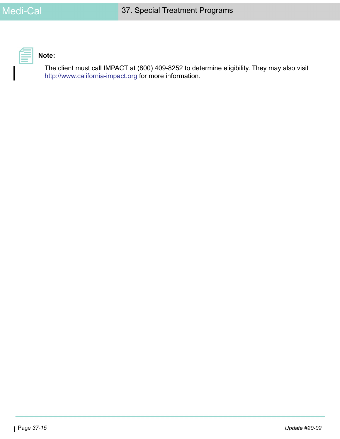

## **Note:**

[The client must call IMPACT at \(800\) 409-8252 to determine eligibility. They may also visit](https://www.california-impact.org/pages/)  [http://www.california-impact.org](https://www.california-impact.org/pages/) for more information.